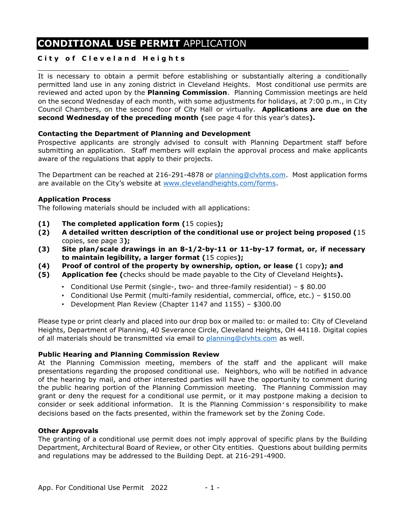# **CONDITIONAL USE PERMIT** APPLICATION

## **City of Cleveland Heights**

It is necessary to obtain a permit before establishing or substantially altering a conditionally permitted land use in any zoning district in Cleveland Heights. Most conditional use permits are reviewed and acted upon by the **Planning Commission**. Planning Commission meetings are held on the second Wednesday of each month, with some adjustments for holidays, at 7:00 p.m., in City Council Chambers, on the second floor of City Hall or virtually. **Applications are due on the second Wednesday of the preceding month (**see page 4 for this year's dates**).**

 $\_$  ,  $\_$  ,  $\_$  ,  $\_$  ,  $\_$  ,  $\_$  ,  $\_$  ,  $\_$  ,  $\_$  ,  $\_$  ,  $\_$  ,  $\_$  ,  $\_$  ,  $\_$  ,  $\_$  ,  $\_$  ,  $\_$  ,  $\_$  ,  $\_$  ,  $\_$  ,  $\_$  ,  $\_$  ,  $\_$  ,  $\_$  ,  $\_$  ,  $\_$  ,  $\_$  ,  $\_$  ,  $\_$  ,  $\_$  ,  $\_$  ,  $\_$  ,  $\_$  ,  $\_$  ,  $\_$  ,  $\_$  ,  $\_$  ,

#### **Contacting the Department of Planning and Development**

Prospective applicants are strongly advised to consult with Planning Department staff before submitting an application. Staff members will explain the approval process and make applicants aware of the regulations that apply to their projects.

The Department can be reached at 216-291-4878 or [planning@clvhts.com.](mailto:planning@clvhts.com) Most application forms are available on the City's website at [www.clevelandheights.com/forms.](http://www.clevelandheights.com/forms)

#### **Application Process**

The following materials should be included with all applications:

- **(1) The completed application form (**15 copies**);**
- **(2) A detailed written description of the conditional use or project being proposed (**15 copies, see page 3**);**
- **(3) Site plan/scale drawings in an 8-1/2-by-11 or 11-by-17 format, or, if necessary to maintain legibility, a larger format (**15 copies**);**
- **(4) Proof of control of the property by ownership, option, or lease (**1 copy**); and**
- **(5) Application fee (**checks should be made payable to the City of Cleveland Heights**).**
	- Conditional Use Permit (single-, two- and three-family residential) \$ 80.00
	- Conditional Use Permit (multi-family residential, commercial, office, etc.) \$150.00
	- Development Plan Review (Chapter 1147 and 1155) \$300.00

Please type or print clearly and placed into our drop box or mailed to: or mailed to: City of Cleveland Heights, Department of Planning, 40 Severance Circle, Cleveland Heights, OH 44118. Digital copies of all materials should be transmitted via email to [planning@clvhts.com](mailto:planning@clvhts.com) as well.

#### **Public Hearing and Planning Commission Review**

At the Planning Commission meeting, members of the staff and the applicant will make presentations regarding the proposed conditional use. Neighbors, who will be notified in advance of the hearing by mail, and other interested parties will have the opportunity to comment during the public hearing portion of the Planning Commission meeting. The Planning Commission may grant or deny the request for a conditional use permit, or it may postpone making a decision to consider or seek additional information. It is the Planning Commission's responsibility to make decisions based on the facts presented, within the framework set by the Zoning Code.

#### **Other Approvals**

The granting of a conditional use permit does not imply approval of specific plans by the Building Department, Architectural Board of Review, or other City entities. Questions about building permits and regulations may be addressed to the Building Dept. at 216-291-4900.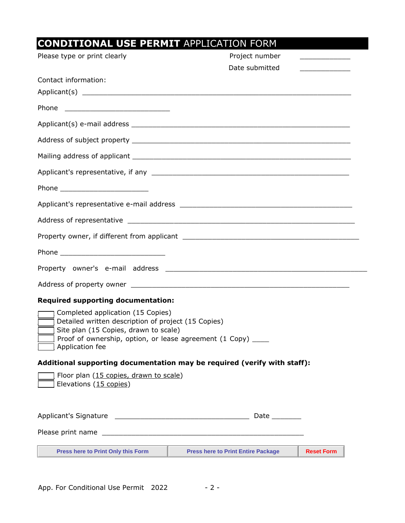| <b>CONDITIONAL USE PERMIT APPLICATION FORM</b>                                                                                                                                                                        |                                                                          |                                            |  |
|-----------------------------------------------------------------------------------------------------------------------------------------------------------------------------------------------------------------------|--------------------------------------------------------------------------|--------------------------------------------|--|
| Please type or print clearly                                                                                                                                                                                          | Project number                                                           | <u> 1990 - Johann Barn, mars ann an t-</u> |  |
|                                                                                                                                                                                                                       | Date submitted                                                           | <u> 1990 - Johann Barn, mars ann an t-</u> |  |
| Contact information:                                                                                                                                                                                                  |                                                                          |                                            |  |
|                                                                                                                                                                                                                       |                                                                          |                                            |  |
|                                                                                                                                                                                                                       |                                                                          |                                            |  |
|                                                                                                                                                                                                                       |                                                                          |                                            |  |
|                                                                                                                                                                                                                       |                                                                          |                                            |  |
|                                                                                                                                                                                                                       |                                                                          |                                            |  |
|                                                                                                                                                                                                                       |                                                                          |                                            |  |
|                                                                                                                                                                                                                       |                                                                          |                                            |  |
|                                                                                                                                                                                                                       |                                                                          |                                            |  |
|                                                                                                                                                                                                                       |                                                                          |                                            |  |
|                                                                                                                                                                                                                       |                                                                          |                                            |  |
|                                                                                                                                                                                                                       |                                                                          |                                            |  |
|                                                                                                                                                                                                                       |                                                                          |                                            |  |
|                                                                                                                                                                                                                       |                                                                          |                                            |  |
| <b>Required supporting documentation:</b>                                                                                                                                                                             |                                                                          |                                            |  |
| Completed application (15 Copies)<br>Detailed written description of project (15 Copies)<br>Site plan (15 Copies, drawn to scale)<br>Proof of ownership, option, or lease agreement (1 Copy) _____<br>Application fee |                                                                          |                                            |  |
|                                                                                                                                                                                                                       | Additional supporting documentation may be required (verify with staff): |                                            |  |
| Floor plan (15 copies, drawn to scale)<br>Elevations (15 copies)                                                                                                                                                      |                                                                          |                                            |  |
|                                                                                                                                                                                                                       | Date ________                                                            |                                            |  |
|                                                                                                                                                                                                                       |                                                                          |                                            |  |
| <b>Press here to Print Only this Form</b>                                                                                                                                                                             | <b>Reset Form</b><br><b>Press here to Print Entire Package</b>           |                                            |  |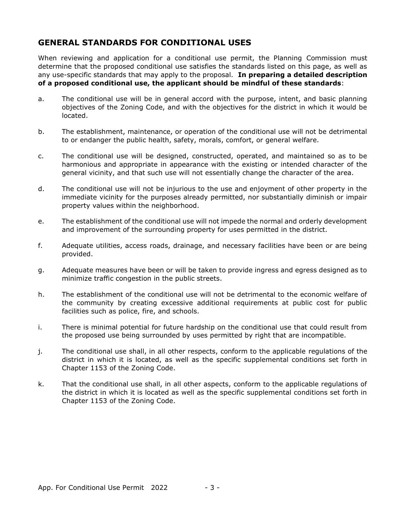## **GENERAL STANDARDS FOR CONDITIONAL USES**

When reviewing and application for a conditional use permit, the Planning Commission must determine that the proposed conditional use satisfies the standards listed on this page, as well as any use-specific standards that may apply to the proposal. **In preparing a detailed description of a proposed conditional use, the applicant should be mindful of these standards**:

- a. The conditional use will be in general accord with the purpose, intent, and basic planning objectives of the Zoning Code, and with the objectives for the district in which it would be located.
- b. The establishment, maintenance, or operation of the conditional use will not be detrimental to or endanger the public health, safety, morals, comfort, or general welfare.
- c. The conditional use will be designed, constructed, operated, and maintained so as to be harmonious and appropriate in appearance with the existing or intended character of the general vicinity, and that such use will not essentially change the character of the area.
- d. The conditional use will not be injurious to the use and enjoyment of other property in the immediate vicinity for the purposes already permitted, nor substantially diminish or impair property values within the neighborhood.
- e. The establishment of the conditional use will not impede the normal and orderly development and improvement of the surrounding property for uses permitted in the district.
- f. Adequate utilities, access roads, drainage, and necessary facilities have been or are being provided.
- g. Adequate measures have been or will be taken to provide ingress and egress designed as to minimize traffic congestion in the public streets.
- h. The establishment of the conditional use will not be detrimental to the economic welfare of the community by creating excessive additional requirements at public cost for public facilities such as police, fire, and schools.
- i. There is minimal potential for future hardship on the conditional use that could result from the proposed use being surrounded by uses permitted by right that are incompatible.
- j. The conditional use shall, in all other respects, conform to the applicable regulations of the district in which it is located, as well as the specific supplemental conditions set forth in Chapter 1153 of the Zoning Code.
- k. That the conditional use shall, in all other aspects, conform to the applicable regulations of the district in which it is located as well as the specific supplemental conditions set forth in Chapter 1153 of the Zoning Code.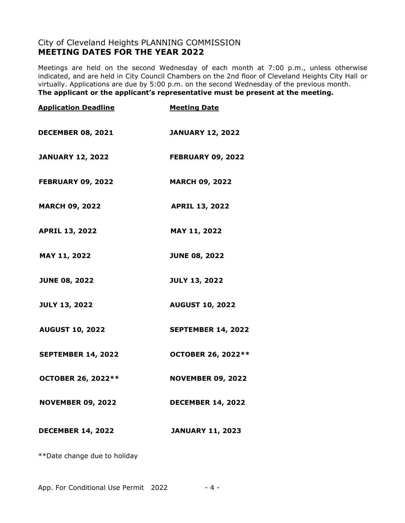## City of Cleveland Heights PLANNING COMMISSION **MEETING DATES FOR THE YEAR 2022**

Meetings are held on the second Wednesday of each month at 7:00 p.m., unless otherwise indicated, and are held in City Council Chambers on the 2nd floor of Cleveland Heights City Hall or virtually. Applications are due by 5:00 p.m. on the second Wednesday of the previous month. **The applicant or the applicant's representative must be present at the meeting.**

| <b>Application Deadline</b> | <b>Meeting Date</b>       |
|-----------------------------|---------------------------|
| <b>DECEMBER 08, 2021</b>    | <b>JANUARY 12, 2022</b>   |
| <b>JANUARY 12, 2022</b>     | <b>FEBRUARY 09, 2022</b>  |
| <b>FEBRUARY 09, 2022</b>    | <b>MARCH 09, 2022</b>     |
| <b>MARCH 09, 2022</b>       | <b>APRIL 13, 2022</b>     |
| <b>APRIL 13, 2022</b>       | MAY 11, 2022              |
| MAY 11, 2022                | <b>JUNE 08, 2022</b>      |
| <b>JUNE 08, 2022</b>        | <b>JULY 13, 2022</b>      |
| <b>JULY 13, 2022</b>        | <b>AUGUST 10, 2022</b>    |
| <b>AUGUST 10, 2022</b>      | <b>SEPTEMBER 14, 2022</b> |
| <b>SEPTEMBER 14, 2022</b>   | OCTOBER 26, 2022**        |
| <b>OCTOBER 26, 2022**</b>   | <b>NOVEMBER 09, 2022</b>  |
| <b>NOVEMBER 09, 2022</b>    | <b>DECEMBER 14, 2022</b>  |
| <b>DECEMBER 14, 2022</b>    | <b>JANUARY 11, 2023</b>   |

\*\*Date change due to holiday